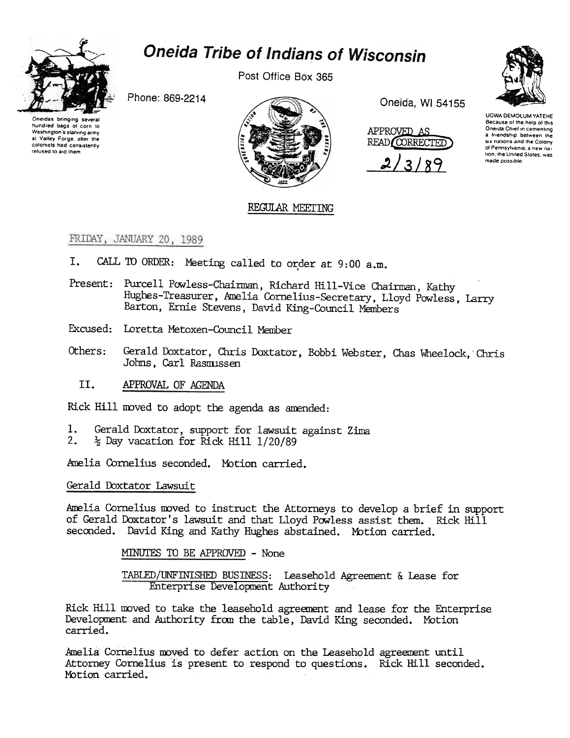

# **Oneida Tribe of Indians of Wisconsin**

Post Office Box 365

Phone: 869-2214

Oneidas bringing several hundred bags of corn to Washington's starving army at Valley Forge, after the colonists had consistently refused to aid them



Oneida, WI 54155





UGWA DEMOLLIM YATEHE Because of the help of this Oneida Chief in cementing a friendship between the six nations and the Colony of Pennsylvania, a new nation, the United States, was made possible

## REGULAR MEETING

#### FRIDAY, JANUARY 20, 1989

- CALL TO ORDER: Meeting called to order at 9:00 a.m. I.
- Present: Purcell Powless-Chairman, Richard Hill-Vice Chairman, Kathy Hughes-Treasurer, Amelia Cornelius-Secretary, Lloyd Powless, Larry Barton, Ernie Stevens, David King-Council Members
- Excused: Loretta Metoxen-Council Member
- Others: Gerald Doxtator, Chris Doxtator, Bobbi Webster, Chas Wheelock, Chris Johns, Carl Rasmussen
	- II. APPROVAL OF AGENDA

Rick Hill moved to adopt the agenda as amended:

- 1. Gerald Doxtator, support for lawsuit against Zima
- $2.$  $\frac{1}{2}$  Day vacation for Rick Hill 1/20/89

Amelia Cornelius seconded. Motion carried.

Gerald Doxtator Lawsuit

Amelia Cornelius moved to instruct the Attorneys to develop a brief in support of Gerald Doxtator's lawsuit and that Lloyd Powless assist them. Rick Hill seconded. David King and Kathy Hughes abstained. Motion carried.

MINUTES TO BE APPROVED - None

TABLED/UNFINISHED BUSINESS: Leasehold Agreement & Lease for Enterprise Development Authority

Rick Hill moved to take the leasehold agreement and lease for the Enterprise Development and Authority from the table, David King seconded. Motion carried.

Amelia Cornelius moved to defer action on the Leasehold agreement until Attorney Cornelius is present to respond to questions. Rick Hill seconded. Motion carried.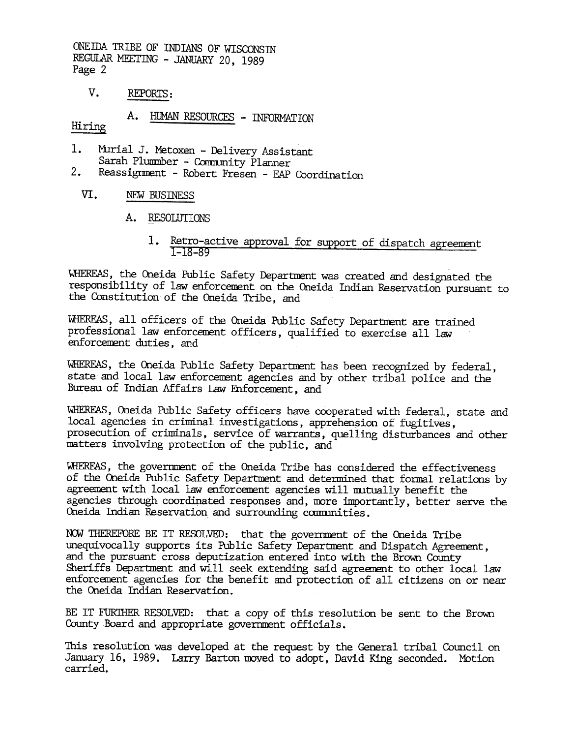ONEIDA TRIBE OF INDIANS OF WISCONSIN REGULAR MEETING - JANUARY 20, 1989 Page 2

 $V_{\bullet}$ REPORTS:

A. HUMAN RESOURCES - INFORMATION

Hiring

- Murial J. Metoxen Delivery Assistant 1. Sarah Plumber - Comunity Planner
- $2.$ Reassignment - Robert Fresen - EAP Coordination
	- VI. NEW BUSINESS
		- A. RESOLUTIONS
			- 1. Retro-active approval for support of dispatch agreement 1-18-89

WHEREAS, the Oneida Public Safety Department was created and designated the responsibility of law enforcement on the Oneida Indian Reservation pursuant to the Constitution of the Oneida Tribe, and

WHEREAS, all officers of the Oneida Public Safety Department are trained professional law enforcement officers, qualified to exercise all law enforcement duties, and

WHEREAS, the Oneida Public Safety Department has been recognized by federal. state and local law enforcement agencies and by other tribal police and the Bureau of Indian Affairs Law Enforcement, and

WHEREAS, Oneida Public Safety officers have cooperated with federal, state and local agencies in criminal investigations, apprehension of fugitives. prosecution of criminals, service of warrants, quelling disturbances and other matters involving protection of the public, and

WHEREAS, the government of the Oneida Tribe has considered the effectiveness of the Oneida Public Safety Department and determined that formal relations by agreement with local law enforcement agencies will mutually benefit the agencies through coordinated responses and, more importantly, better serve the Oneida Indian Reservation and surrounding communities.

NOW THEREFORE BE IT RESOLVED: that the government of the Oneida Tribe unequivocally supports its Public Safety Department and Dispatch Agreement. and the pursuant cross deputization entered into with the Brown County Sheriffs Department and will seek extending said agreement to other local law enforcement agencies for the benefit and protection of all citizens on or near the Oneida Indian Reservation.

BE IT FURTHER RESOLVED: that a copy of this resolution be sent to the Brown County Board and appropriate government officials.

This resolution was developed at the request by the General tribal Council on January 16, 1989. Larry Barton moved to adopt, David King seconded. Motion carried.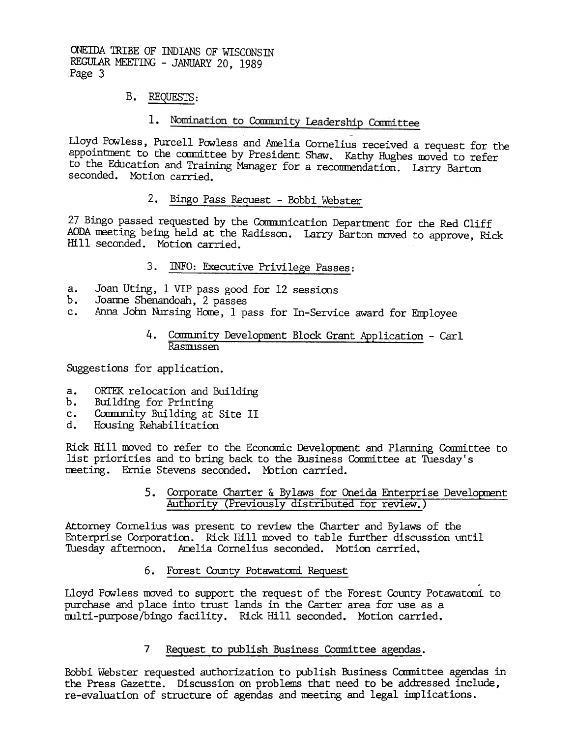ONEIDA TRIBE OF INDIANS OF WISCONSTN REGULAR MEETING - JANUARY 20, 1989 Page 3

## B. REQUESTS:

# 1. Nomination to Community Leadership Committee

Lloyd Powless, Purcell Powless and Amelia Cornelius received a request for the appointment to the committee by President Shaw. Kathy Hughes moved to refer to the Education and Training Manager for a recommendation. Larry Barton seconded. Motion carried.

# 2. Bingo Pass Request - Bobbi Webster

27 Bingo passed requested by the Communication Department for the Red Cliff AODA meeting being held at the Radisson. Larry Barton moved to approve, Rick Hill seconded. MOtion carried.

# INFO: Executive Privilege Passes:

- a. Joan Uting, 1 VIP pass good for 12 sessions
- b. Joanne Shenandoah, 2 passes
- c. Anna John Nursing Home, 1 pass for In-Service award for Employee

#### 4. Community Development Block Grant Application - Carl Rasmussen

Suggestions for application.

- a. ORTEK relocation and Building
- b. Building for Printing
- c. Comnmity Building at Site II
- d. Housing Rehabilitation

Rick Hill moved to refer to the Economic Development and Planning Committee to list priorities and to bring back to the Business Committee at Tuesday's meeting. Ernie Stevens seconded. Mbtion carried.

#### 5. Corporate Charter & Bylaws for Oneida Enterprise Development Authority (Previously distributed for review.)

Attorney Cornelius was present to review the Charter and By laws of the Enterprise Corporation. Ridk Hill moved to table further discussion until Tuesday afternoon. Amelia Cornelius seconded. Motion carried.

6. Forest County Potawatani Request

Lloyd Powless moved to support the request of the Forest County Potawatomi to purchase and place into trust lands in the Carter area for use as a multi-purpose/bingo facility. Rick Hill seconded. Motion carried.

### 7 Request to publish Business Conmittee agendas.

Bobbi Webster requested authorization to publish Business Committee agendas in the Press Gazette. Discussion on problems that need to be addressed include, re-evaluation of structure of agendas and meeting and legal implications.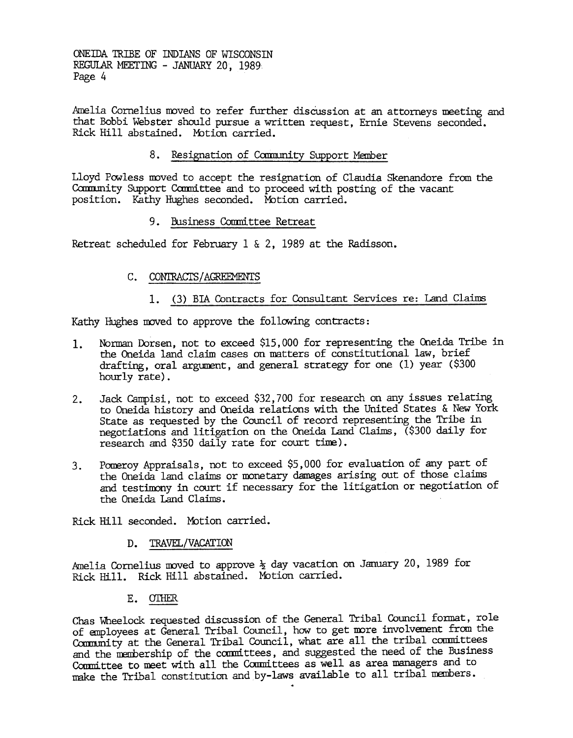ONEillA TRIBE OF INDIANS OF WISCONSIN REGULAR MEETING - JANUARY 20, 1989 Page 4

Amelia Cornelius moved to refer further discussion at an attorneys meeting and that Bobbi Webster should pursue a written request, Ernie Stevens seconded. Rick Hill abstained. Mbtion carried.

8. Resignation of Community Support Member

Lloyd Powless moved to accept the resignation of Claudia Skenandore from the Carnmunity Support Committee and to proceed with posting of the vacant position. Kathy Hughes seconded. Motion carried.

9. Business Committee Retreat

Retreat scheduled for February 1 & 2, 1989 at the Radisson.

- C. CONTRACTS/AGREEMENTS
	- (3) BIA Contracts for Consultant Services re: Land Claims

Kathy Hughes moved to approve the following contracts:

- Norman Dorsen, not to exceed \$15,000 for representing the Oneida Tribe in the Oneida land claim cases on matters of constitutional law, brief drafting, oral argument, and general strategy for one  $(1)$  year  $(\$300)$ hourly rate). 1.
- Jadk Campisi, not to exceed \$32,700 for researdh on any issues relating to Oneida history and Oneida relations with the United States & New York State as requested by the Council of record representing the Tribe in negotiations and litigation on the Oneida Land Claims, (\$300 daily for research and \$350 daily rate for court time). 2.
- 3. Pomeroy Appraisals, not to exceed \$5, 000 for evaluation of any part of the Oneida land claims or monetary damages arising out of those claims and testimony in court if necessary for the litigation or negotiation of the Oneida Land Claims.

Rick Hill seconded. Motion carried.

#### D. TRAVEL/VACATION

Amelia Cornelius moved to approve  $\frac{1}{2}$  day vacation on January 20, 1989 for Ridk Hill. Rick Hill abstained. MOtion carried.

#### E. OTHER

Chas Wheelock. requested discussion of the General Tribal Council fomat, role of enployees at General Tribal Council; how to get nore involvarent from the Community at the General Tribal Council, what are all the tribal committees and the membership of the committees, and suggested the need of the Business Committee to meet with all the Committees as well as area managers and to neke the Tribal constitution and by-laws available to all tribal members.

~